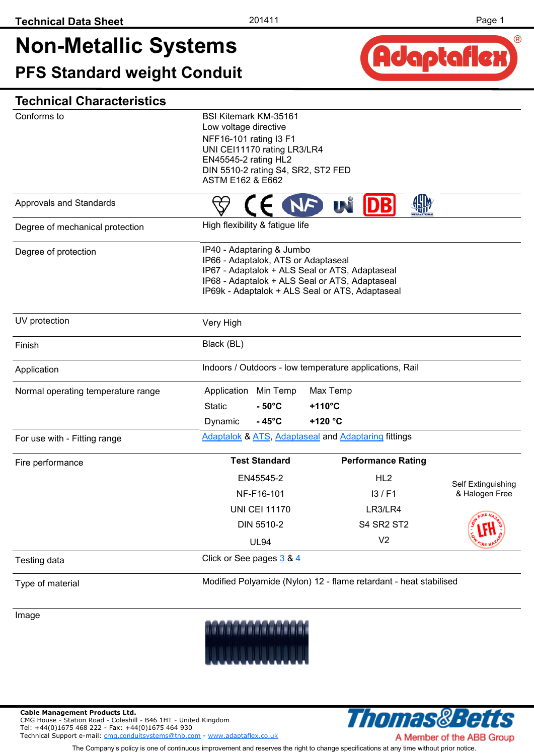## **Non-Metallic Systems PFS Standard weight Conduit**



| Conforms to                        | <b>BSI Kitemark KM-35161</b><br>Low voltage directive      |                                                                   |                    |  |  |  |
|------------------------------------|------------------------------------------------------------|-------------------------------------------------------------------|--------------------|--|--|--|
|                                    | NFF16-101 rating I3 F1                                     |                                                                   |                    |  |  |  |
|                                    | UNI CEI11170 rating LR3/LR4                                |                                                                   |                    |  |  |  |
|                                    | EN45545-2 rating HL2<br>DIN 5510-2 rating S4, SR2, ST2 FED |                                                                   |                    |  |  |  |
|                                    | ASTM E162 & E662                                           |                                                                   |                    |  |  |  |
| Approvals and Standards            |                                                            | <b>UN DB</b><br>NF                                                |                    |  |  |  |
| Degree of mechanical protection    | High flexibility & fatigue life                            |                                                                   |                    |  |  |  |
| Degree of protection               | IP40 - Adaptaring & Jumbo                                  |                                                                   |                    |  |  |  |
|                                    | IP66 - Adaptalok, ATS or Adaptaseal                        | IP67 - Adaptalok + ALS Seal or ATS, Adaptaseal                    |                    |  |  |  |
|                                    |                                                            | IP68 - Adaptalok + ALS Seal or ATS, Adaptaseal                    |                    |  |  |  |
|                                    |                                                            | IP69k - Adaptalok + ALS Seal or ATS, Adaptaseal                   |                    |  |  |  |
| UV protection                      | Very High                                                  |                                                                   |                    |  |  |  |
| Finish                             | Black (BL)                                                 |                                                                   |                    |  |  |  |
| Application                        | Indoors / Outdoors - low temperature applications, Rail    |                                                                   |                    |  |  |  |
| Normal operating temperature range | Min Temp<br>Application                                    | Max Temp                                                          |                    |  |  |  |
|                                    | <b>Static</b><br>$-50^{\circ}$ C                           | $+110^{\circ}$ C                                                  |                    |  |  |  |
|                                    | Dynamic<br>$-45^{\circ}$ C                                 | +120 °C                                                           |                    |  |  |  |
| For use with - Fitting range       |                                                            | Adaptalok & ATS, Adaptaseal and Adaptaring fittings               |                    |  |  |  |
| Fire performance                   | <b>Test Standard</b>                                       | <b>Performance Rating</b>                                         |                    |  |  |  |
|                                    | EN45545-2                                                  | HL <sub>2</sub>                                                   | Self Extinguishing |  |  |  |
|                                    | NF-F16-101                                                 | 13/FA                                                             | & Halogen Free     |  |  |  |
|                                    | <b>UNI CEI 11170</b>                                       | LR3/LR4                                                           |                    |  |  |  |
|                                    | DIN 5510-2                                                 | <b>S4 SR2 ST2</b>                                                 |                    |  |  |  |
|                                    | <b>UL94</b>                                                | V <sub>2</sub>                                                    |                    |  |  |  |
| Testing data                       | Click or See pages 3 & 4                                   |                                                                   |                    |  |  |  |
| Type of material                   |                                                            | Modified Polyamide (Nylon) 12 - flame retardant - heat stabilised |                    |  |  |  |
|                                    |                                                            |                                                                   |                    |  |  |  |
| Image                              |                                                            |                                                                   |                    |  |  |  |



**Cable Management Products Ltd.** 

CMG House - Station Road - Coleshill - B46 1HT - United Kingdom Tel: +44(0)1675 468 222 - Fax: +44(0)1675 464 930

Technical Support e-mail: [cmg.conduitsystems@tnb.com](mailto:mailto:cmg.conduitsystems@tnb.com?subject=Data%20Sheet%20-%20Technical%20Support) - [www.adaptaflex.co.uk](http://www.adaptaflex.com)

**Thomas&Betts** A Member of the ABB Group

The Company's policy is one of continuous improvement and reserves the right to change specifications at any time without prior notice.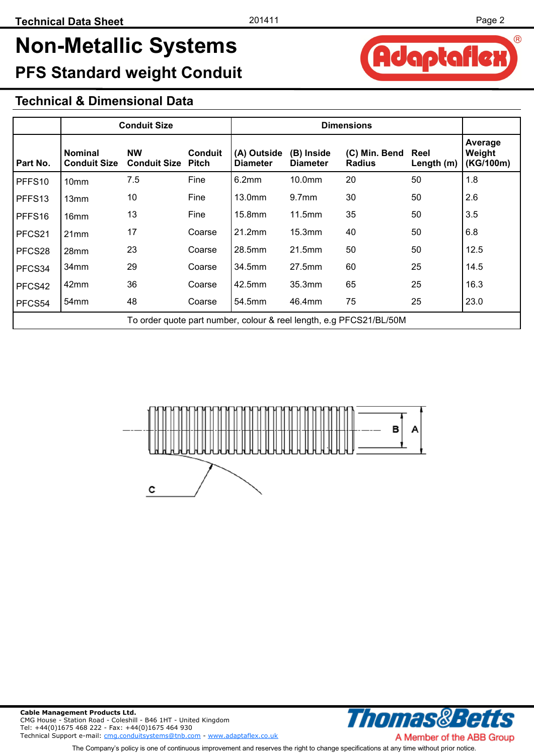Adaptafle

®

## **Non-Metallic Systems PFS Standard weight Conduit**

#### **Technical & Dimensional Data**

|                    | <b>Conduit Size</b>                                                 |                                        |                | <b>Dimensions</b>              |                               |                                |                    |                                |
|--------------------|---------------------------------------------------------------------|----------------------------------------|----------------|--------------------------------|-------------------------------|--------------------------------|--------------------|--------------------------------|
| Part No.           | <b>Nominal</b><br><b>Conduit Size</b>                               | <b>NW</b><br><b>Conduit Size Pitch</b> | <b>Conduit</b> | (A) Outside<br><b>Diameter</b> | (B) Inside<br><b>Diameter</b> | (C) Min. Bend<br><b>Radius</b> | Reel<br>Length (m) | Average<br>Weight<br>(KG/100m) |
| PFFS <sub>10</sub> | 10 <sub>mm</sub>                                                    | 7.5                                    | Fine           | 6.2mm                          | 10.0mm                        | 20                             | 50                 | 1.8                            |
| PFFS13             | 13mm                                                                | 10                                     | Fine           | 13.0 <sub>mm</sub>             | 9.7 <sub>mm</sub>             | 30                             | 50                 | 2.6                            |
| PFFS16             | 16 <sub>mm</sub>                                                    | 13                                     | Fine           | $15.8$ mm                      | 11.5mm                        | 35                             | 50                 | 3.5                            |
| PFCS21             | 21mm                                                                | 17                                     | Coarse         | 21.2mm                         | 15.3mm                        | 40                             | 50                 | 6.8                            |
| PFCS28             | 28mm                                                                | 23                                     | Coarse         | 28.5mm                         | 21.5mm                        | 50                             | 50                 | 12.5                           |
| PFCS34             | 34mm                                                                | 29                                     | Coarse         | 34.5mm                         | 27.5mm                        | 60                             | 25                 | 14.5                           |
| PFCS42             | 42mm                                                                | 36                                     | Coarse         | 42.5mm                         | 35.3mm                        | 65                             | 25                 | 16.3                           |
| PFCS54             | 54 <sub>mm</sub>                                                    | 48                                     | Coarse         | 54.5mm                         | 46.4mm                        | 75                             | 25                 | 23.0                           |
|                    | To order quote part number, colour & reel length, e.g PFCS21/BL/50M |                                        |                |                                |                               |                                |                    |                                |





A Member of the ABB Group The Company's policy is one of continuous improvement and reserves the right to change specifications at any time without prior notice.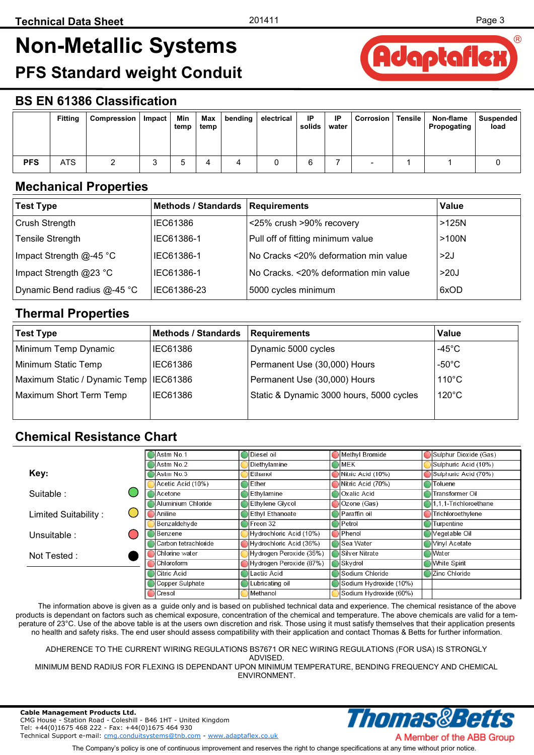Adaptaflex

# <span id="page-2-0"></span>**Non-Metallic Systems**

**PFS Standard weight Conduit** 

### **BS EN 61386 Classification**

|            | <b>Fitting</b> | Compression | Impact | Min<br>temp | Max<br>temp | bending | electrical | IP<br>solids | IP<br>water | <b>Corrosion</b> | <b>Tensile</b> | Non-flame<br>Propogating | Suspended<br>load |
|------------|----------------|-------------|--------|-------------|-------------|---------|------------|--------------|-------------|------------------|----------------|--------------------------|-------------------|
| <b>PFS</b> | <b>ATS</b>     |             |        |             | 4           |         |            | ◠<br>b       |             |                  |                |                          |                   |

#### **Mechanical Properties**

| <b>Test Type</b>            | <b>Methods / Standards</b> | <b>Requirements</b>                   | Value   |
|-----------------------------|----------------------------|---------------------------------------|---------|
| Crush Strength              | <b>IEC61386</b>            | <25% crush >90% recovery              | $>125N$ |
| <b>Tensile Strength</b>     | IEC61386-1                 | Pull off of fitting minimum value     | >100N   |
| Impact Strength $@$ -45 °C  | IEC61386-1                 | No Cracks <20% deformation min value  | >2J     |
| Impact Strength @23 °C      | IEC61386-1                 | No Cracks. <20% deformation min value | >20J    |
| Dynamic Bend radius @-45 °C | IEC61386-23                | 5000 cycles minimum                   | 6xOD    |

#### **Thermal Properties**

| <b>Test Type</b>                         | <b>Methods / Standards</b> | Requirements                             | Value            |
|------------------------------------------|----------------------------|------------------------------------------|------------------|
| Minimum Temp Dynamic                     | <b>IEC61386</b>            | Dynamic 5000 cycles                      | -45 $^{\circ}$ C |
| Minimum Static Temp                      | IEC61386                   | Permanent Use (30,000) Hours             | $-50^{\circ}$ C  |
| Maximum Static / Dynamic Temp   IEC61386 |                            | Permanent Use (30,000) Hours             | $110^{\circ}$ C  |
| Maximum Short Term Temp                  | IEC61386                   | Static & Dynamic 3000 hours, 5000 cycles | $120^{\circ}$ C  |
|                                          |                            |                                          |                  |

#### **Chemical Resistance Chart**

|                            | Astm No.1            | Methyl Bromide<br>Diesel oil              | Sulphur Dioxide (Gas) |
|----------------------------|----------------------|-------------------------------------------|-----------------------|
|                            | Astm No.2            | Diethylamine<br>MEK                       | Sulphuric Acid (10%)  |
| Key:                       | Astm No.3            | Nitric Acid (10%)<br>Ethanol              | Sulphuric Acid (70%)  |
|                            | Acetic Acid (10%)    | Nitric Acid (70%)<br>lEther               | Toluene               |
| Suitable:                  | l Acetone            | Ethylamine<br>Oxalic Acid                 | Transformer Oil       |
|                            | Aluminium Chloride   | Ethylene Glycol<br>Ozone (Gas)            | 1.1.1-Trichloroethane |
| Limited Suitability:<br>L. | lAniline.            | Ethyl Ethanoate<br>IParaffin oil          | Trichloroethylene     |
|                            | Benzaldehyde         | Petrol<br>Freon 32                        | Turpentine            |
| Unsuitable :               | Benzene              | Hydrochloric Acid (10%)<br><b>Phenol</b>  | Vegetable Oil         |
|                            | Carbon tetrachloride | Hydrochloric Acid (36%)<br>∦Sea Water     | Vinyl Acetate         |
| Not Tested:                | Chlorine water       | Hydrogen Peroxide (35%)<br>Silver Nitrate | Water                 |
|                            | Chloroform           | Hydrogen Peroxide (87%)<br><b>Skydrol</b> | <b>White Spirit</b>   |
|                            | Citric Acid          | Sodium Chloride<br>Lactic Acid            | Zinc Chloride         |
|                            | Copper Sulphate      | Lubricating oil<br>Sodium Hydroxide (10%) |                       |
|                            | Cresol               | Sodium Hydroxide (60%)<br>Methanol        |                       |

 The information above is given as a guide only and is based on published technical data and experience. The chemical resistance of the above products is dependant on factors such as chemical exposure, concentration of the chemical and temperature. The above chemicals are valid for a temperature of 23°C. Use of the above table is at the users own discretion and risk. Those using it must satisfy themselves that their application presents no health and safety risks. The end user should assess compatibility with their application and contact Thomas & Betts for further information.

ADHERENCE TO THE CURRENT WIRING REGULATIONS BS7671 OR NEC WIRING REGULATIONS (FOR USA) IS STRONGLY

ADVISED.

MINIMUM BEND RADIUS FOR FLEXING IS DEPENDANT UPON MINIMUM TEMPERATURE, BENDING FREQUENCY AND CHEMICAL ENVIRONMENT.

Thomas&Be

**Cable Management Products Ltd.**  CMG House - Station Road - Coleshill - B46 1HT - United Kingdom Tel: +44(0)1675 468 222 - Fax: +44(0)1675 464 930 Technical Support e-mail: [cmg.conduitsystems@tnb.com](mailto:mailto:cmg.conduitsystems@tnb.com?subject=Data%20Sheet%20-%20Technical%20Support) - [www.adaptaflex.co.uk](http://www.adaptaflex.com)

The Company's policy is one of continuous improvement and reserves the right to change specifications at any time without prior notice.

A Member of the ABB Group